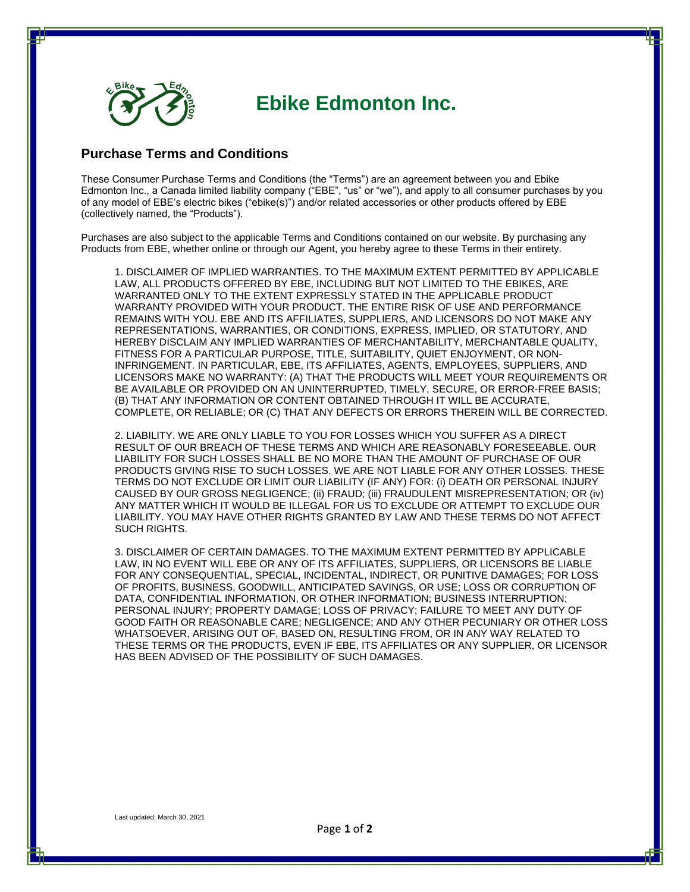

## **Ebike Edmonton Inc.**

## **Purchase Terms and Conditions**

These Consumer Purchase Terms and Conditions (the "Terms") are an agreement between you and Ebike Edmonton Inc., a Canada limited liability company ("EBE", "us" or "we"), and apply to all consumer purchases by you of any model of EBE's electric bikes ("ebike(s)") and/or related accessories or other products offered by EBE (collectively named, the "Products").

Purchases are also subject to the applicable Terms and Conditions contained on our website. By purchasing any Products from EBE, whether online or through our Agent, you hereby agree to these Terms in their entirety.

1. DISCLAIMER OF IMPLIED WARRANTIES. TO THE MAXIMUM EXTENT PERMITTED BY APPLICABLE LAW, ALL PRODUCTS OFFERED BY EBE, INCLUDING BUT NOT LIMITED TO THE EBIKES, ARE WARRANTED ONLY TO THE EXTENT EXPRESSLY STATED IN THE APPLICABLE PRODUCT WARRANTY PROVIDED WITH YOUR PRODUCT. THE ENTIRE RISK OF USE AND PERFORMANCE REMAINS WITH YOU. EBE AND ITS AFFILIATES, SUPPLIERS, AND LICENSORS DO NOT MAKE ANY REPRESENTATIONS, WARRANTIES, OR CONDITIONS, EXPRESS, IMPLIED, OR STATUTORY, AND HEREBY DISCLAIM ANY IMPLIED WARRANTIES OF MERCHANTABILITY, MERCHANTABLE QUALITY, FITNESS FOR A PARTICULAR PURPOSE, TITLE, SUITABILITY, QUIET ENJOYMENT, OR NON-INFRINGEMENT. IN PARTICULAR, EBE, ITS AFFILIATES, AGENTS, EMPLOYEES, SUPPLIERS, AND LICENSORS MAKE NO WARRANTY: (A) THAT THE PRODUCTS WILL MEET YOUR REQUIREMENTS OR BE AVAILABLE OR PROVIDED ON AN UNINTERRUPTED, TIMELY, SECURE, OR ERROR-FREE BASIS; (B) THAT ANY INFORMATION OR CONTENT OBTAINED THROUGH IT WILL BE ACCURATE, COMPLETE, OR RELIABLE; OR (C) THAT ANY DEFECTS OR ERRORS THEREIN WILL BE CORRECTED.

2. LIABILITY. WE ARE ONLY LIABLE TO YOU FOR LOSSES WHICH YOU SUFFER AS A DIRECT RESULT OF OUR BREACH OF THESE TERMS AND WHICH ARE REASONABLY FORESEEABLE. OUR LIABILITY FOR SUCH LOSSES SHALL BE NO MORE THAN THE AMOUNT OF PURCHASE OF OUR PRODUCTS GIVING RISE TO SUCH LOSSES. WE ARE NOT LIABLE FOR ANY OTHER LOSSES. THESE TERMS DO NOT EXCLUDE OR LIMIT OUR LIABILITY (IF ANY) FOR: (i) DEATH OR PERSONAL INJURY CAUSED BY OUR GROSS NEGLIGENCE; (ii) FRAUD; (iii) FRAUDULENT MISREPRESENTATION; OR (iv) ANY MATTER WHICH IT WOULD BE ILLEGAL FOR US TO EXCLUDE OR ATTEMPT TO EXCLUDE OUR LIABILITY. YOU MAY HAVE OTHER RIGHTS GRANTED BY LAW AND THESE TERMS DO NOT AFFECT SUCH RIGHTS.

3. DISCLAIMER OF CERTAIN DAMAGES. TO THE MAXIMUM EXTENT PERMITTED BY APPLICABLE LAW, IN NO EVENT WILL EBE OR ANY OF ITS AFFILIATES, SUPPLIERS, OR LICENSORS BE LIABLE FOR ANY CONSEQUENTIAL, SPECIAL, INCIDENTAL, INDIRECT, OR PUNITIVE DAMAGES; FOR LOSS OF PROFITS, BUSINESS, GOODWILL, ANTICIPATED SAVINGS, OR USE; LOSS OR CORRUPTION OF DATA, CONFIDENTIAL INFORMATION, OR OTHER INFORMATION; BUSINESS INTERRUPTION; PERSONAL INJURY; PROPERTY DAMAGE; LOSS OF PRIVACY; FAILURE TO MEET ANY DUTY OF GOOD FAITH OR REASONABLE CARE; NEGLIGENCE; AND ANY OTHER PECUNIARY OR OTHER LOSS WHATSOEVER, ARISING OUT OF, BASED ON, RESULTING FROM, OR IN ANY WAY RELATED TO THESE TERMS OR THE PRODUCTS, EVEN IF EBE, ITS AFFILIATES OR ANY SUPPLIER, OR LICENSOR HAS BEEN ADVISED OF THE POSSIBILITY OF SUCH DAMAGES.